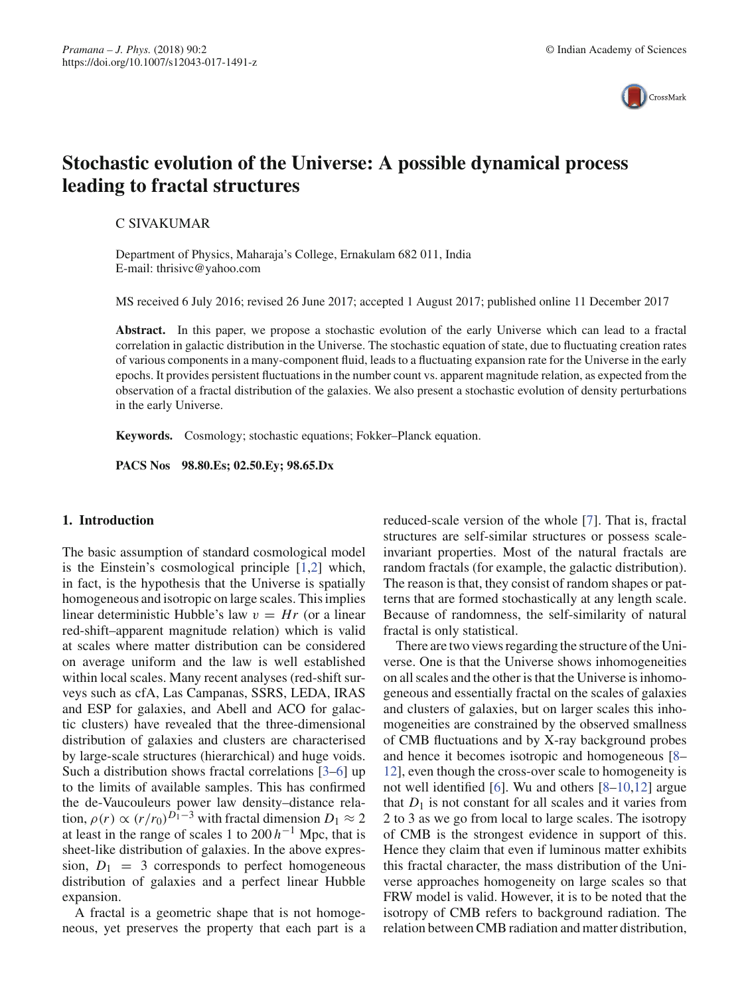

# **Stochastic evolution of the Universe: A possible dynamical process leading to fractal structures**

# C SIVAKUMAR

Department of Physics, Maharaja's College, Ernakulam 682 011, India E-mail: thrisivc@yahoo.com

MS received 6 July 2016; revised 26 June 2017; accepted 1 August 2017; published online 11 December 2017

**Abstract.** In this paper, we propose a stochastic evolution of the early Universe which can lead to a fractal correlation in galactic distribution in the Universe. The stochastic equation of state, due to fluctuating creation rates of various components in a many-component fluid, leads to a fluctuating expansion rate for the Universe in the early epochs. It provides persistent fluctuations in the number count vs. apparent magnitude relation, as expected from the observation of a fractal distribution of the galaxies. We also present a stochastic evolution of density perturbations in the early Universe.

**Keywords.** Cosmology; stochastic equations; Fokker–Planck equation.

**PACS Nos 98.80.Es; 02.50.Ey; 98.65.Dx**

# **1. Introduction**

The basic assumption of standard cosmological model is the Einstein's cosmological principle [1,2] which, in fact, is the hypothesis that the Universe is spatially homogeneous and isotropic on large scales. This implies linear deterministic Hubble's law  $v = Hr$  (or a linear red-shift–apparent magnitude relation) which is valid at scales where matter distribution can be considered on average uniform and the law is well established within local scales. Many recent analyses (red-shift surveys such as cfA, Las Campanas, SSRS, LEDA, IRAS and ESP for galaxies, and Abell and ACO for galactic clusters) have revealed that the three-dimensional distribution of galaxies and clusters are characterised by large-scale structures (hierarchical) and huge voids. Such a distribution shows fractal correlations [3–6] up to the limits of available samples. This has confirmed the de-Vaucouleurs power law density–distance relation,  $\rho(r) \propto (r/r_0)^{D_1 - 3}$  with fractal dimension  $D_1 \approx 2$ at least in the range of scales 1 to 200  $h^{-1}$  Mpc, that is sheet-like distribution of galaxies. In the above expression,  $D_1 = 3$  corresponds to perfect homogeneous distribution of galaxies and a perfect linear Hubble expansion.

A fractal is a geometric shape that is not homogeneous, yet preserves the property that each part is a reduced-scale version of the whole [7]. That is, fractal structures are self-similar structures or possess scaleinvariant properties. Most of the natural fractals are random fractals (for example, the galactic distribution). The reason is that, they consist of random shapes or patterns that are formed stochastically at any length scale. Because of randomness, the self-similarity of natural fractal is only statistical.

There are two views regarding the structure of the Universe. One is that the Universe shows inhomogeneities on all scales and the other is that the Universe is inhomogeneous and essentially fractal on the scales of galaxies and clusters of galaxies, but on larger scales this inhomogeneities are constrained by the observed smallness of CMB fluctuations and by X-ray background probes and hence it becomes isotropic and homogeneous [8– 12], even though the cross-over scale to homogeneity is not well identified [6]. Wu and others [8–10,12] argue that  $D_1$  is not constant for all scales and it varies from 2 to 3 as we go from local to large scales. The isotropy of CMB is the strongest evidence in support of this. Hence they claim that even if luminous matter exhibits this fractal character, the mass distribution of the Universe approaches homogeneity on large scales so that FRW model is valid. However, it is to be noted that the isotropy of CMB refers to background radiation. The relation between CMB radiation and matter distribution,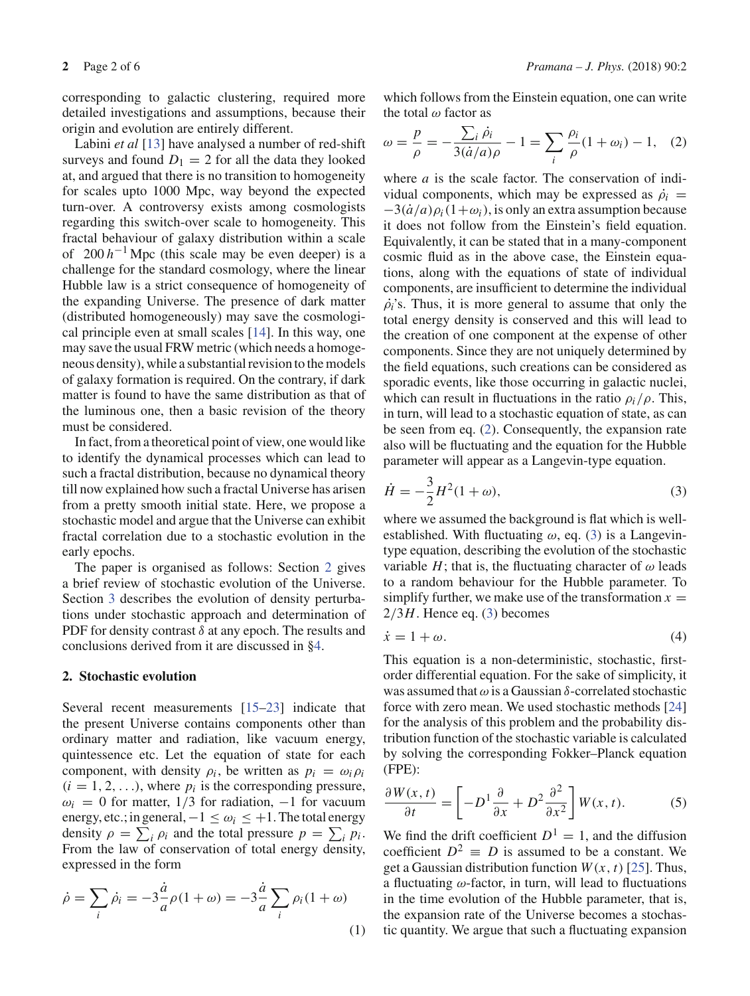corresponding to galactic clustering, required more detailed investigations and assumptions, because their origin and evolution are entirely different.

Labini *et al* [13] have analysed a number of red-shift surveys and found  $D_1 = 2$  for all the data they looked at, and argued that there is no transition to homogeneity for scales upto 1000 Mpc, way beyond the expected turn-over. A controversy exists among cosmologists regarding this switch-over scale to homogeneity. This fractal behaviour of galaxy distribution within a scale of  $200 h^{-1}$  Mpc (this scale may be even deeper) is a challenge for the standard cosmology, where the linear Hubble law is a strict consequence of homogeneity of the expanding Universe. The presence of dark matter (distributed homogeneously) may save the cosmological principle even at small scales [14]. In this way, one may save the usual FRW metric (which needs a homogeneous density), while a substantial revision to the models of galaxy formation is required. On the contrary, if dark matter is found to have the same distribution as that of the luminous one, then a basic revision of the theory must be considered.

In fact, from a theoretical point of view, one would like to identify the dynamical processes which can lead to such a fractal distribution, because no dynamical theory till now explained how such a fractal Universe has arisen from a pretty smooth initial state. Here, we propose a stochastic model and argue that the Universe can exhibit fractal correlation due to a stochastic evolution in the early epochs.

The paper is organised as follows: Section 2 gives a brief review of stochastic evolution of the Universe. Section 3 describes the evolution of density perturbations under stochastic approach and determination of PDF for density contrast  $\delta$  at any epoch. The results and conclusions derived from it are discussed in §4.

#### **2. Stochastic evolution**

Several recent measurements [15–23] indicate that the present Universe contains components other than ordinary matter and radiation, like vacuum energy, quintessence etc. Let the equation of state for each component, with density  $\rho_i$ , be written as  $p_i = \omega_i \rho_i$  $(i = 1, 2, \ldots)$ , where  $p_i$  is the corresponding pressure,  $\omega_i = 0$  for matter, 1/3 for radiation,  $-1$  for vacuum energy, etc.; in general,  $-1 \le \omega_i \le +1$ . The total energy density  $\rho = \sum_i \rho_i$  and the total pressure  $p = \sum_i p_i$ . From the law of conservation of total energy density, expressed in the form

$$
\dot{\rho} = \sum_{i} \dot{\rho}_{i} = -3\frac{\dot{a}}{a}\rho(1+\omega) = -3\frac{\dot{a}}{a}\sum_{i} \rho_{i}(1+\omega)
$$
\n(1)

which follows from the Einstein equation, one can write the total  $\omega$  factor as

$$
\omega = \frac{p}{\rho} = -\frac{\sum_{i} \dot{\rho}_{i}}{3(\dot{a}/a)\rho} - 1 = \sum_{i} \frac{\rho_{i}}{\rho} (1 + \omega_{i}) - 1, \quad (2)
$$

where *a* is the scale factor. The conservation of individual components, which may be expressed as  $\dot{\rho}_i$  =  $-3(\dot{a}/a)\rho_i(1+\omega_i)$ , is only an extra assumption because it does not follow from the Einstein's field equation. Equivalently, it can be stated that in a many-component cosmic fluid as in the above case, the Einstein equations, along with the equations of state of individual components, are insufficient to determine the individual  $\dot{\rho}_i$ 's. Thus, it is more general to assume that only the total energy density is conserved and this will lead to the creation of one component at the expense of other components. Since they are not uniquely determined by the field equations, such creations can be considered as sporadic events, like those occurring in galactic nuclei, which can result in fluctuations in the ratio  $\rho_i/\rho$ . This, in turn, will lead to a stochastic equation of state, as can be seen from eq. (2). Consequently, the expansion rate also will be fluctuating and the equation for the Hubble parameter will appear as a Langevin-type equation.

$$
\dot{H} = -\frac{3}{2}H^2(1+\omega),
$$
\n(3)

where we assumed the background is flat which is wellestablished. With fluctuating  $\omega$ , eq. (3) is a Langevintype equation, describing the evolution of the stochastic variable *H*; that is, the fluctuating character of  $\omega$  leads to a random behaviour for the Hubble parameter. To simplify further, we make use of the transformation  $x =$  $2/3H$ . Hence eq. (3) becomes

$$
\dot{x} = 1 + \omega. \tag{4}
$$

This equation is a non-deterministic, stochastic, firstorder differential equation. For the sake of simplicity, it was assumed that  $\omega$  is a Gaussian  $\delta$ -correlated stochastic force with zero mean. We used stochastic methods [24] for the analysis of this problem and the probability distribution function of the stochastic variable is calculated by solving the corresponding Fokker–Planck equation (FPE):

$$
\frac{\partial W(x,t)}{\partial t} = \left[ -D^1 \frac{\partial}{\partial x} + D^2 \frac{\partial^2}{\partial x^2} \right] W(x,t). \tag{5}
$$

We find the drift coefficient  $D^1 = 1$ , and the diffusion coefficient  $D^2 \equiv D$  is assumed to be a constant. We get a Gaussian distribution function  $W(x, t)$  [25]. Thus, a fluctuating  $\omega$ -factor, in turn, will lead to fluctuations in the time evolution of the Hubble parameter, that is, the expansion rate of the Universe becomes a stochastic quantity. We argue that such a fluctuating expansion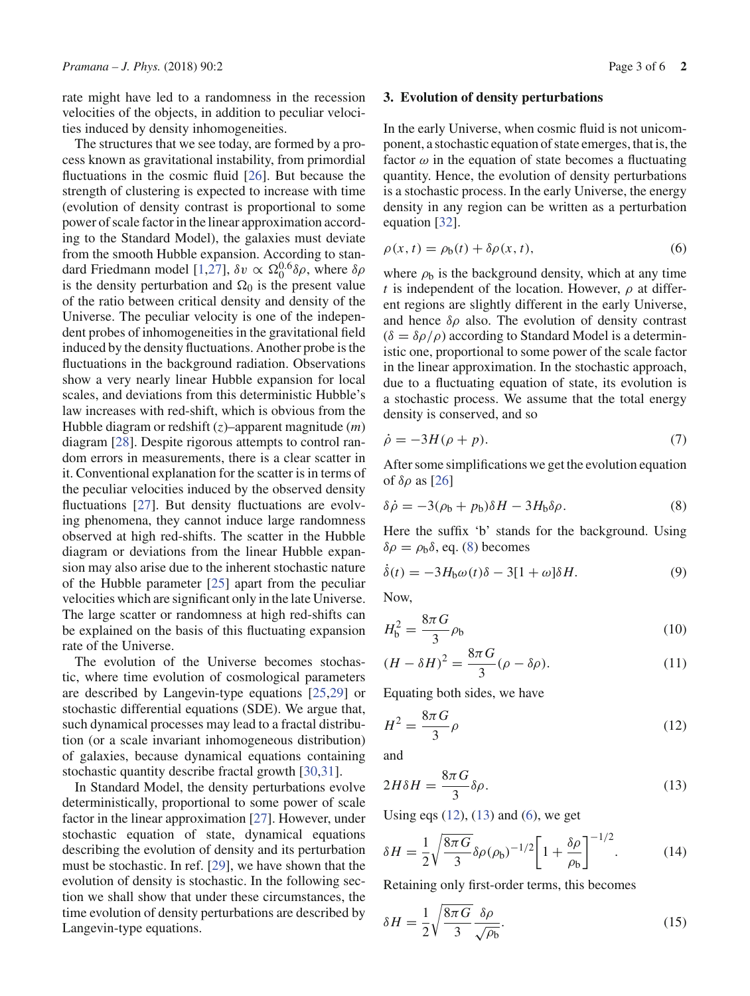rate might have led to a randomness in the recession velocities of the objects, in addition to peculiar velocities induced by density inhomogeneities.

The structures that we see today, are formed by a process known as gravitational instability, from primordial fluctuations in the cosmic fluid [26]. But because the strength of clustering is expected to increase with time (evolution of density contrast is proportional to some power of scale factor in the linear approximation according to the Standard Model), the galaxies must deviate from the smooth Hubble expansion. According to standard Friedmann model [1,27],  $\delta v \propto \Omega_0^{0.6} \delta \rho$ , where  $\delta \rho$ is the density perturbation and  $\Omega_0$  is the present value of the ratio between critical density and density of the Universe. The peculiar velocity is one of the independent probes of inhomogeneities in the gravitational field induced by the density fluctuations. Another probe is the fluctuations in the background radiation. Observations show a very nearly linear Hubble expansion for local scales, and deviations from this deterministic Hubble's law increases with red-shift, which is obvious from the Hubble diagram or redshift (*z*)–apparent magnitude (*m*) diagram [28]. Despite rigorous attempts to control random errors in measurements, there is a clear scatter in it. Conventional explanation for the scatter is in terms of the peculiar velocities induced by the observed density fluctuations [27]. But density fluctuations are evolving phenomena, they cannot induce large randomness observed at high red-shifts. The scatter in the Hubble diagram or deviations from the linear Hubble expansion may also arise due to the inherent stochastic nature of the Hubble parameter [25] apart from the peculiar velocities which are significant only in the late Universe. The large scatter or randomness at high red-shifts can be explained on the basis of this fluctuating expansion rate of the Universe.

The evolution of the Universe becomes stochastic, where time evolution of cosmological parameters are described by Langevin-type equations [25,29] or stochastic differential equations (SDE). We argue that, such dynamical processes may lead to a fractal distribution (or a scale invariant inhomogeneous distribution) of galaxies, because dynamical equations containing stochastic quantity describe fractal growth [30,31].

In Standard Model, the density perturbations evolve deterministically, proportional to some power of scale factor in the linear approximation [27]. However, under stochastic equation of state, dynamical equations describing the evolution of density and its perturbation must be stochastic. In ref. [29], we have shown that the evolution of density is stochastic. In the following section we shall show that under these circumstances, the time evolution of density perturbations are described by Langevin-type equations.

#### **3. Evolution of density perturbations**

In the early Universe, when cosmic fluid is not unicomponent, a stochastic equation of state emerges, that is, the factor  $\omega$  in the equation of state becomes a fluctuating quantity. Hence, the evolution of density perturbations is a stochastic process. In the early Universe, the energy density in any region can be written as a perturbation equation [32].

$$
\rho(x,t) = \rho_b(t) + \delta \rho(x,t),\tag{6}
$$

where  $\rho_b$  is the background density, which at any time *t* is independent of the location. However,  $\rho$  at different regions are slightly different in the early Universe, and hence  $\delta \rho$  also. The evolution of density contrast  $(\delta = \delta \rho / \rho)$  according to Standard Model is a deterministic one, proportional to some power of the scale factor in the linear approximation. In the stochastic approach, due to a fluctuating equation of state, its evolution is a stochastic process. We assume that the total energy density is conserved, and so

$$
\dot{\rho} = -3H(\rho + p). \tag{7}
$$

After some simplifications we get the evolution equation of  $\delta \rho$  as [26]

$$
\delta \dot{\rho} = -3(\rho_b + p_b)\delta H - 3H_b \delta \rho. \tag{8}
$$

Here the suffix 'b' stands for the background. Using  $\delta \rho = \rho_{\rm b} \delta$ , eq. (8) becomes

$$
\dot{\delta}(t) = -3H_{b}\omega(t)\delta - 3[1+\omega]\delta H. \tag{9}
$$

Now,

$$
H_{\rm b}^2 = \frac{8\pi G}{3} \rho_{\rm b} \tag{10}
$$

$$
(H - \delta H)^2 = \frac{8\pi G}{3} (\rho - \delta \rho).
$$
 (11)

Equating both sides, we have

$$
H^2 = \frac{8\pi G}{3}\rho\tag{12}
$$

and

$$
2H\delta H = \frac{8\pi G}{3}\delta\rho.
$$
 (13)

Using eqs  $(12)$ ,  $(13)$  and  $(6)$ , we get

$$
\delta H = \frac{1}{2} \sqrt{\frac{8\pi G}{3}} \delta \rho(\rho_b)^{-1/2} \left[ 1 + \frac{\delta \rho}{\rho_b} \right]^{-1/2} . \tag{14}
$$

Retaining only first-order terms, this becomes

$$
\delta H = \frac{1}{2} \sqrt{\frac{8\pi G}{3}} \frac{\delta \rho}{\sqrt{\rho_b}}.
$$
\n(15)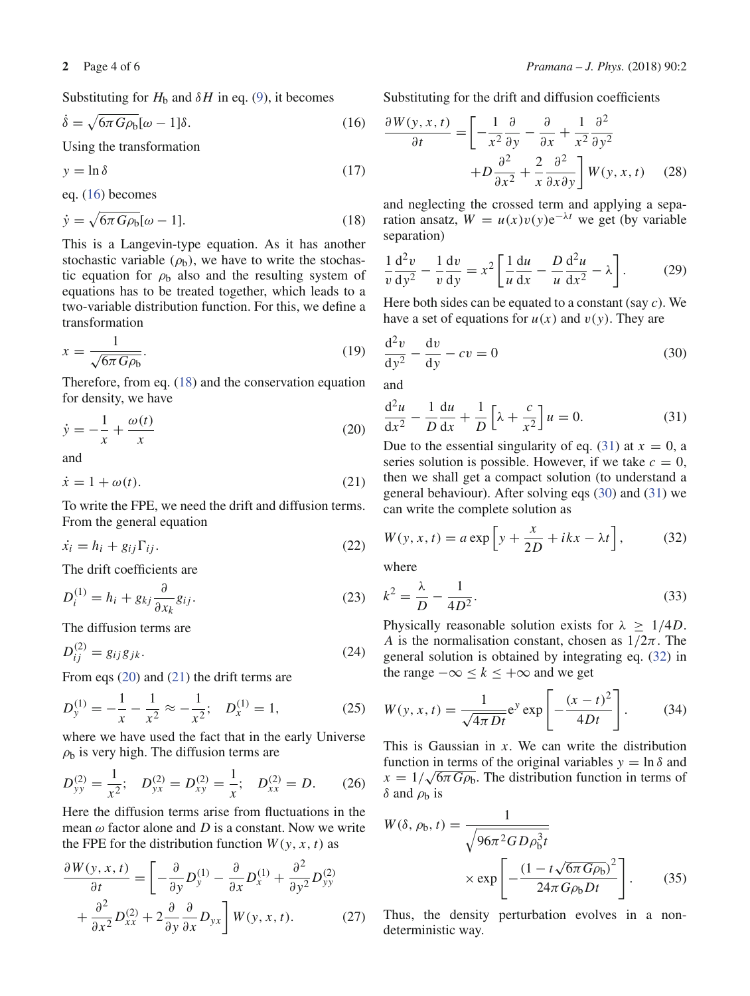$$
\dot{\delta} = \sqrt{6\pi G \rho_b} [\omega - 1] \delta. \tag{16}
$$

Using the transformation

$$
y = \ln \delta \tag{17}
$$

eq. (16) becomes

$$
\dot{y} = \sqrt{6\pi G \rho_b} [\omega - 1]. \tag{18}
$$

This is a Langevin-type equation. As it has another stochastic variable  $(\rho_b)$ , we have to write the stochastic equation for  $\rho_b$  also and the resulting system of equations has to be treated together, which leads to a two-variable distribution function. For this, we define a transformation

$$
x = \frac{1}{\sqrt{6\pi G\rho_b}}.\tag{19}
$$

Therefore, from eq. (18) and the conservation equation for density, we have

$$
\dot{y} = -\frac{1}{x} + \frac{\omega(t)}{x} \tag{20}
$$

and

$$
\dot{x} = 1 + \omega(t). \tag{21}
$$

To write the FPE, we need the drift and diffusion terms. From the general equation

$$
\dot{x}_i = h_i + g_{ij} \Gamma_{ij}.
$$
\n(22)

The drift coefficients are

$$
D_i^{(1)} = h_i + g_{kj} \frac{\partial}{\partial x_k} g_{ij}.
$$
 (23)

The diffusion terms are

$$
D_{ij}^{(2)} = g_{ij}g_{jk}.
$$
 (24)

From eqs (20) and (21) the drift terms are

$$
D_y^{(1)} = -\frac{1}{x} - \frac{1}{x^2} \approx -\frac{1}{x^2}; \quad D_x^{(1)} = 1,\tag{25}
$$

where we have used the fact that in the early Universe  $\rho_b$  is very high. The diffusion terms are

$$
D_{yy}^{(2)} = \frac{1}{x^2}; \quad D_{yx}^{(2)} = D_{xy}^{(2)} = \frac{1}{x}; \quad D_{xx}^{(2)} = D. \tag{26}
$$

Here the diffusion terms arise from fluctuations in the mean  $\omega$  factor alone and *D* is a constant. Now we write the FPE for the distribution function  $W(y, x, t)$  as

$$
\frac{\partial W(y, x, t)}{\partial t} = \left[ -\frac{\partial}{\partial y} D_y^{(1)} - \frac{\partial}{\partial x} D_x^{(1)} + \frac{\partial^2}{\partial y^2} D_{yy}^{(2)} + \frac{\partial^2}{\partial x^2} D_{xx}^{(2)} + 2 \frac{\partial}{\partial y} \frac{\partial}{\partial x} D_{yx} \right] W(y, x, t).
$$
 (27)

Substituting for the drift and diffusion coefficients

$$
\frac{\partial W(y, x, t)}{\partial t} = \left[ -\frac{1}{x^2} \frac{\partial}{\partial y} - \frac{\partial}{\partial x} + \frac{1}{x^2} \frac{\partial^2}{\partial y^2} + D \frac{\partial^2}{\partial x^2} + \frac{2}{x} \frac{\partial^2}{\partial x \partial y} \right] W(y, x, t) \tag{28}
$$

and neglecting the crossed term and applying a separation ansatz,  $W = u(x)v(y)e^{-\lambda t}$  we get (by variable separation)

$$
\frac{1}{v}\frac{d^2v}{dy^2} - \frac{1}{v}\frac{dv}{dy} = x^2 \left[ \frac{1}{u}\frac{du}{dx} - \frac{D}{u}\frac{d^2u}{dx^2} - \lambda \right].
$$
 (29)

Here both sides can be equated to a constant (say *c*). We have a set of equations for  $u(x)$  and  $v(y)$ . They are

$$
\frac{\mathrm{d}^2 v}{\mathrm{d}y^2} - \frac{\mathrm{d}v}{\mathrm{d}y} - cv = 0\tag{30}
$$

and

$$
\frac{\mathrm{d}^2 u}{\mathrm{d}x^2} - \frac{1}{D} \frac{\mathrm{d}u}{\mathrm{d}x} + \frac{1}{D} \left[ \lambda + \frac{c}{x^2} \right] u = 0. \tag{31}
$$

Due to the essential singularity of eq. (31) at  $x = 0$ , a series solution is possible. However, if we take  $c = 0$ , then we shall get a compact solution (to understand a general behaviour). After solving eqs (30) and (31) we can write the complete solution as

$$
W(y, x, t) = a \exp\left[y + \frac{x}{2D} + ikx - \lambda t\right],
$$
 (32)

where

$$
k^2 = \frac{\lambda}{D} - \frac{1}{4D^2}.\tag{33}
$$

Physically reasonable solution exists for  $\lambda \geq 1/4D$ . *A* is the normalisation constant, chosen as  $1/2\pi$ . The general solution is obtained by integrating eq. (32) in the range  $-\infty \leq k \leq +\infty$  and we get

$$
W(y, x, t) = \frac{1}{\sqrt{4\pi Dt}} e^y \exp\left[-\frac{(x-t)^2}{4Dt}\right].
$$
 (34)

This is Gaussian in *x*. We can write the distribution function in terms of the original variables  $y = \ln \delta$  and  $x = 1/\sqrt{6\pi G\rho_b}$ . The distribution function in terms of δ and  $ρ<sub>h</sub>$  is

$$
W(\delta, \rho_b, t) = \frac{1}{\sqrt{96\pi^2 G D \rho_b^3 t}}
$$

$$
\times \exp\left[-\frac{(1 - t\sqrt{6\pi G \rho_b})^2}{24\pi G \rho_b Dt}\right].
$$
 (35)

Thus, the density perturbation evolves in a nondeterministic way.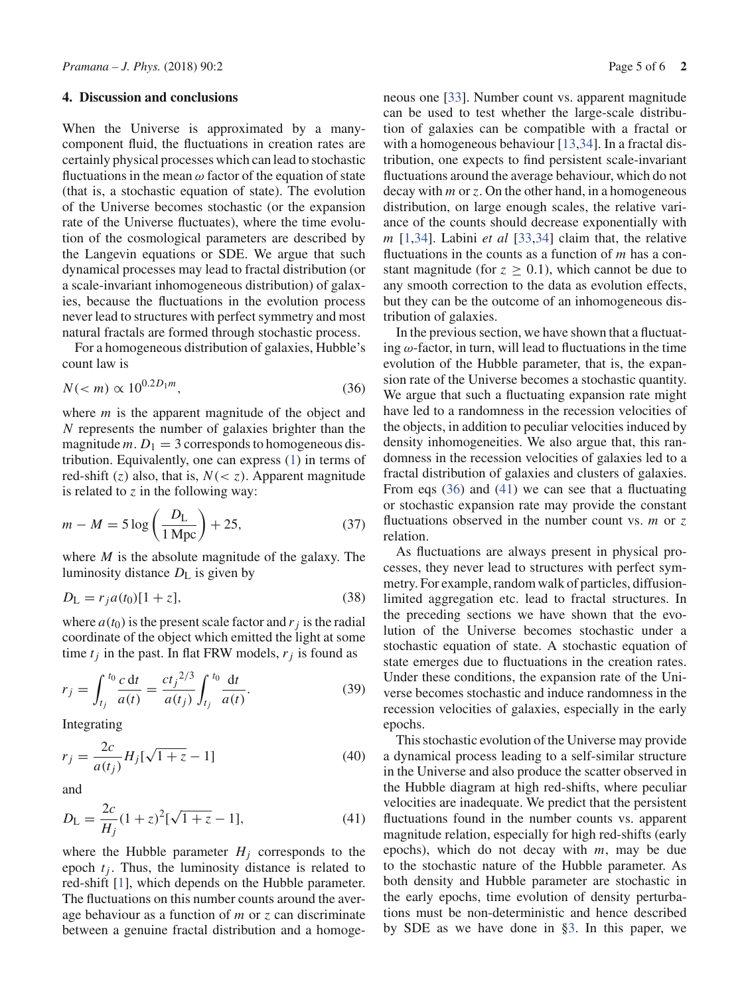### **4. Discussion and conclusions**

When the Universe is approximated by a manycomponent fluid, the fluctuations in creation rates are certainly physical processes which can lead to stochastic fluctuations in the mean  $\omega$  factor of the equation of state (that is, a stochastic equation of state). The evolution of the Universe becomes stochastic (or the expansion rate of the Universe fluctuates), where the time evolution of the cosmological parameters are described by the Langevin equations or SDE. We argue that such dynamical processes may lead to fractal distribution (or a scale-invariant inhomogeneous distribution) of galaxies, because the fluctuations in the evolution process never lead to structures with perfect symmetry and most natural fractals are formed through stochastic process.

For a homogeneous distribution of galaxies, Hubble's count law is

$$
N(
$$

where *m* is the apparent magnitude of the object and *N* represents the number of galaxies brighter than the magnitude  $m$ .  $D_1 = 3$  corresponds to homogeneous distribution. Equivalently, one can express (1) in terms of red-shift  $(z)$  also, that is,  $N \leq z$ ). Apparent magnitude is related to *z* in the following way:

$$
m - M = 5\log\left(\frac{D_{\rm L}}{1\,\text{Mpc}}\right) + 25,\tag{37}
$$

where *M* is the absolute magnitude of the galaxy. The luminosity distance  $D_{\text{L}}$  is given by

$$
D_{\rm L} = r_j a(t_0) [1+z], \tag{38}
$$

where  $a(t_0)$  is the present scale factor and  $r_j$  is the radial coordinate of the object which emitted the light at some time  $t_i$  in the past. In flat FRW models,  $r_i$  is found as

$$
r_j = \int_{t_j}^{t_0} \frac{c \, dt}{a(t)} = \frac{ct_j^{2/3}}{a(t_j)} \int_{t_j}^{t_0} \frac{dt}{a(t)}.
$$
 (39)

Integrating

$$
r_j = \frac{2c}{a(t_j)} H_j[\sqrt{1+z} - 1]
$$
\n(40)

and

$$
D_{\rm L} = \frac{2c}{H_j} (1+z)^2 [\sqrt{1+z} - 1],\tag{41}
$$

where the Hubble parameter  $H_i$  corresponds to the epoch  $t_j$ . Thus, the luminosity distance is related to red-shift [1], which depends on the Hubble parameter. The fluctuations on this number counts around the average behaviour as a function of *m* or *z* can discriminate between a genuine fractal distribution and a homogeneous one [33]. Number count vs. apparent magnitude can be used to test whether the large-scale distribution of galaxies can be compatible with a fractal or with a homogeneous behaviour [13,34]. In a fractal distribution, one expects to find persistent scale-invariant fluctuations around the average behaviour, which do not decay with *m* or *z*. On the other hand, in a homogeneous distribution, on large enough scales, the relative variance of the counts should decrease exponentially with *m* [1,34]. Labini *et al* [33,34] claim that, the relative fluctuations in the counts as a function of *m* has a constant magnitude (for  $z \geq 0.1$ ), which cannot be due to any smooth correction to the data as evolution effects, but they can be the outcome of an inhomogeneous distribution of galaxies.

In the previous section, we have shown that a fluctuating  $\omega$ -factor, in turn, will lead to fluctuations in the time evolution of the Hubble parameter, that is, the expansion rate of the Universe becomes a stochastic quantity. We argue that such a fluctuating expansion rate might have led to a randomness in the recession velocities of the objects, in addition to peculiar velocities induced by density inhomogeneities. We also argue that, this randomness in the recession velocities of galaxies led to a fractal distribution of galaxies and clusters of galaxies. From eqs (36) and (41) we can see that a fluctuating or stochastic expansion rate may provide the constant fluctuations observed in the number count vs. *m* or *z* relation.

As fluctuations are always present in physical processes, they never lead to structures with perfect symmetry. For example, random walk of particles, diffusionlimited aggregation etc. lead to fractal structures. In the preceding sections we have shown that the evolution of the Universe becomes stochastic under a stochastic equation of state. A stochastic equation of state emerges due to fluctuations in the creation rates. Under these conditions, the expansion rate of the Universe becomes stochastic and induce randomness in the recession velocities of galaxies, especially in the early epochs.

This stochastic evolution of the Universe may provide a dynamical process leading to a self-similar structure in the Universe and also produce the scatter observed in the Hubble diagram at high red-shifts, where peculiar velocities are inadequate. We predict that the persistent fluctuations found in the number counts vs. apparent magnitude relation, especially for high red-shifts (early epochs), which do not decay with *m*, may be due to the stochastic nature of the Hubble parameter. As both density and Hubble parameter are stochastic in the early epochs, time evolution of density perturbations must be non-deterministic and hence described by SDE as we have done in §3. In this paper, we